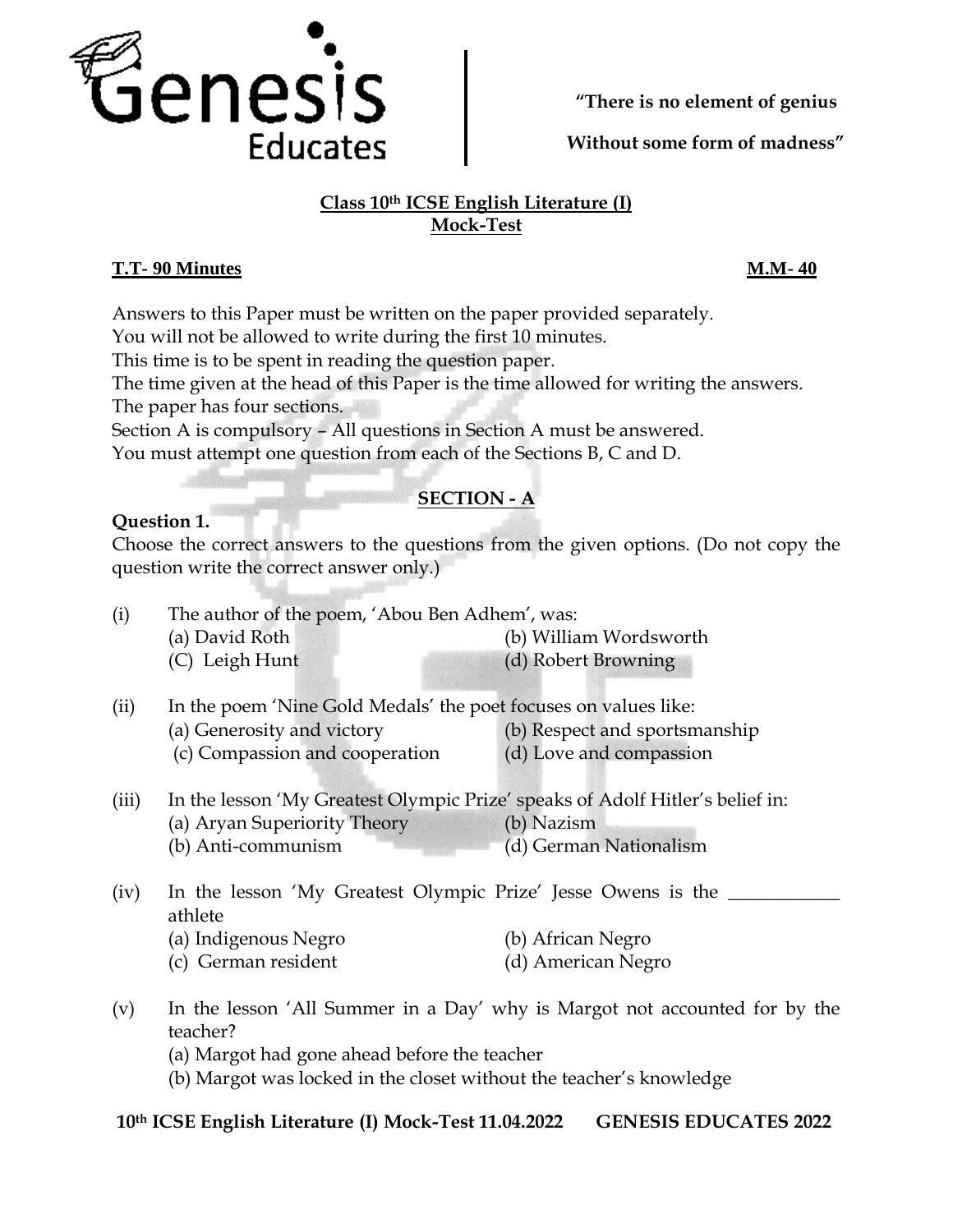

**Without some form of madness"**

## **Class 10th ICSE English Literature (I) Mock-Test**

## **T.T- 90 Minutes M.M- 40**

Answers to this Paper must be written on the paper provided separately.

You will not be allowed to write during the first 10 minutes.

This time is to be spent in reading the question paper.

The time given at the head of this Paper is the time allowed for writing the answers. The paper has four sections.

Section A is compulsory – All questions in Section A must be answered.

You must attempt one question from each of the Sections B, C and D.

# **SECTION - A**

## **Question 1.**

Choose the correct answers to the questions from the given options. (Do not copy the question write the correct answer only.)

| (i) | The author of the poem, 'Abou Ben Adhem', was: |                        |
|-----|------------------------------------------------|------------------------|
|     | (a) David Roth                                 | (b) William Wordsworth |
|     | (C) Leigh Hunt                                 | (d) Robert Browning    |

(ii) In the poem 'Nine Gold Medals' the poet focuses on values like:

(a) Generosity and victory (b) Respect and sportsmanship

- (c) Compassion and cooperation (d) Love and compassion
- (iii) In the lesson 'My Greatest Olympic Prize' speaks of Adolf Hitler's belief in:
	- (a) Aryan Superiority Theory (b) Nazism
		- (b) Anti-communism (d) German Nationalism
- (iv) In the lesson 'My Greatest Olympic Prize' Jesse Owens is the \_\_\_\_\_\_\_\_\_\_\_\_\_\_ athlete
	- (a) Indigenous Negro (b) African Negro
	- (c) German resident (d) American Negro
- (v) In the lesson 'All Summer in a Day' why is Margot not accounted for by the teacher?
	- (a) Margot had gone ahead before the teacher
	- (b) Margot was locked in the closet without the teacher's knowledge

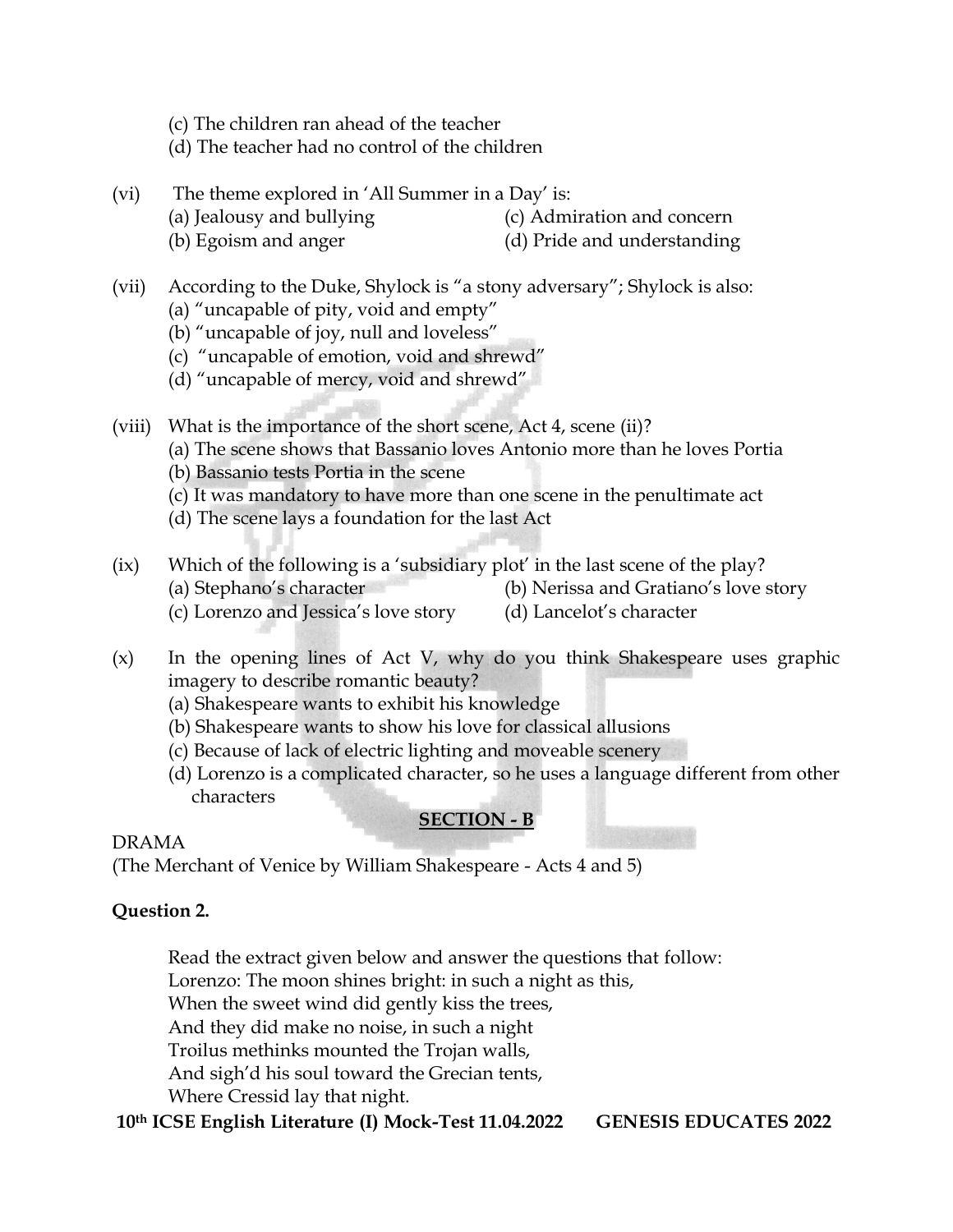- (c) The children ran ahead of the teacher
- (d) The teacher had no control of the children
- (vi) The theme explored in 'All Summer in a Day' is:
	- (a) Jealousy and bullying (c) Admiration and concern
	- (b) Egoism and anger (d) Pride and understanding
- (vii) According to the Duke, Shylock is "a stony adversary"; Shylock is also:
	- (a) "uncapable of pity, void and empty"
	- (b) "uncapable of joy, null and loveless"
	- (c) "uncapable of emotion, void and shrewd"
	- (d) "uncapable of mercy, void and shrewd"
- (viii) What is the importance of the short scene, Act 4, scene (ii)?
	- (a) The scene shows that Bassanio loves Antonio more than he loves Portia
	- (b) Bassanio tests Portia in the scene
	- (c) It was mandatory to have more than one scene in the penultimate act
	- (d) The scene lays a foundation for the last Act
- (ix) Which of the following is a 'subsidiary plot' in the last scene of the play? (a) Stephano's character (b) Nerissa and Gratiano's love story
	- (c) Lorenzo and Jessica's love story (d) Lancelot's character
- (x) In the opening lines of Act V, why do you think Shakespeare uses graphic imagery to describe romantic beauty?
	- (a) Shakespeare wants to exhibit his knowledge
	- (b) Shakespeare wants to show his love for classical allusions
	- (c) Because of lack of electric lighting and moveable scenery
	- (d) Lorenzo is a complicated character, so he uses a language different from other characters

## **SECTION - B**

## DRAMA

(The Merchant of Venice by William Shakespeare - Acts 4 and 5)

## **Question 2.**

Read the extract given below and answer the questions that follow:

Lorenzo: The moon shines bright: in such a night as this,

When the sweet wind did gently kiss the trees,

And they did make no noise, in such a night

Troilus methinks mounted the Trojan walls,

And sigh'd his soul toward the Grecian tents,

Where Cressid lay that night.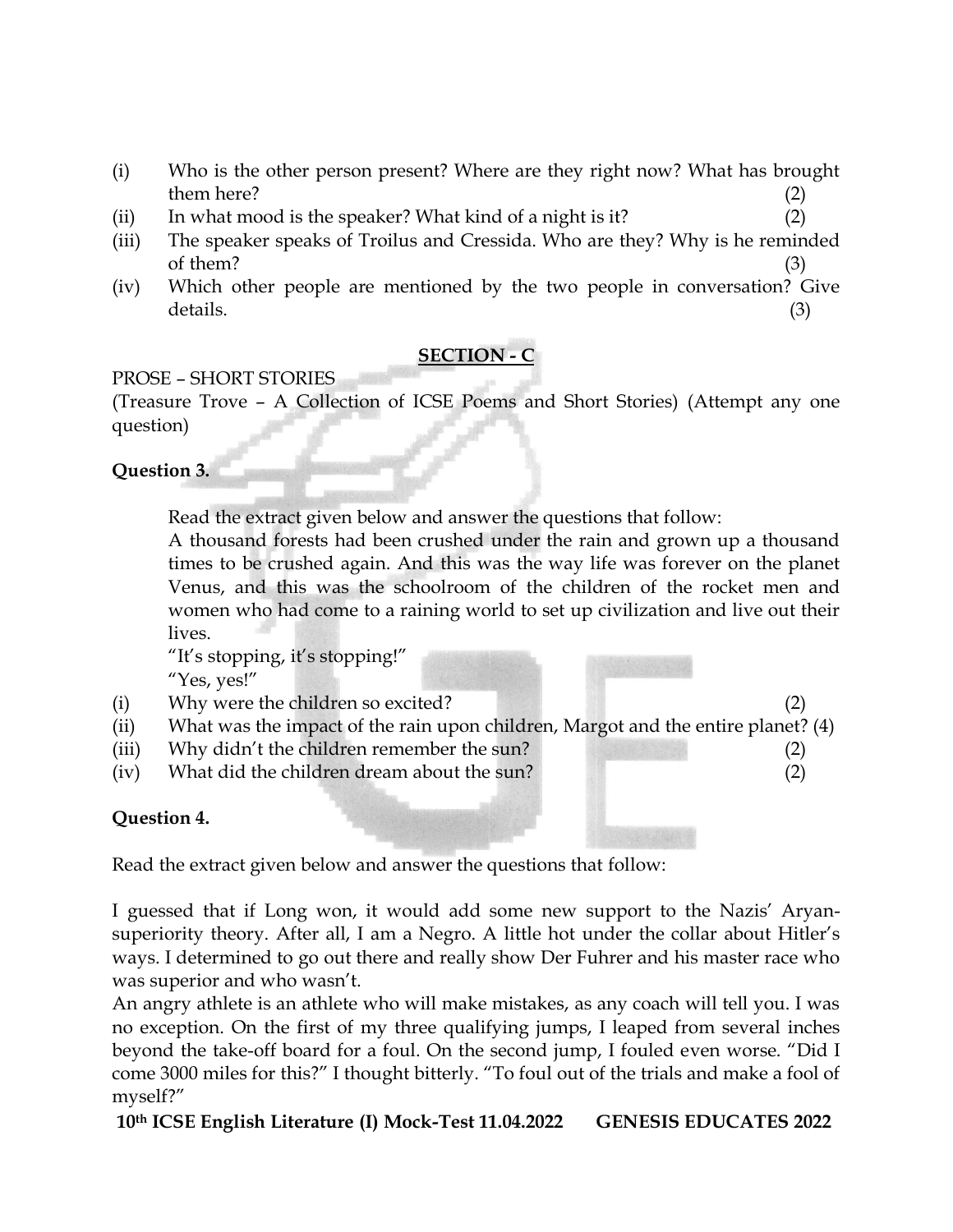- (i) Who is the other person present? Where are they right now? What has brought  $them here?$  (2)
- (ii) In what mood is the speaker? What kind of a night is it?  $(2)$
- (iii) The speaker speaks of Troilus and Cressida. Who are they? Why is he reminded of them?  $(3)$
- (iv) Which other people are mentioned by the two people in conversation? Give details. (3)

# **SECTION - C**

# PROSE – SHORT STORIES

(Treasure Trove – A Collection of ICSE Poems and Short Stories) (Attempt any one question)

# **Question 3.**

Read the extract given below and answer the questions that follow:

A thousand forests had been crushed under the rain and grown up a thousand times to be crushed again. And this was the way life was forever on the planet Venus, and this was the schoolroom of the children of the rocket men and women who had come to a raining world to set up civilization and live out their lives.

"It's stopping, it's stopping!" "Yes, yes!"

- (i) Why were the children so excited? (2)
- (ii) What was the impact of the rain upon children, Margot and the entire planet? (4)
- (iii) Why didn't the children remember the sun? (2)
- (iv) What did the children dream about the sun? (2)

# **Question 4.**

Read the extract given below and answer the questions that follow:

I guessed that if Long won, it would add some new support to the Nazis' Aryansuperiority theory. After all, I am a Negro. A little hot under the collar about Hitler's ways. I determined to go out there and really show Der Fuhrer and his master race who was superior and who wasn't.

An angry athlete is an athlete who will make mistakes, as any coach will tell you. I was no exception. On the first of my three qualifying jumps, I leaped from several inches beyond the take-off board for a foul. On the second jump, I fouled even worse. "Did I come 3000 miles for this?" I thought bitterly. "To foul out of the trials and make a fool of myself?"